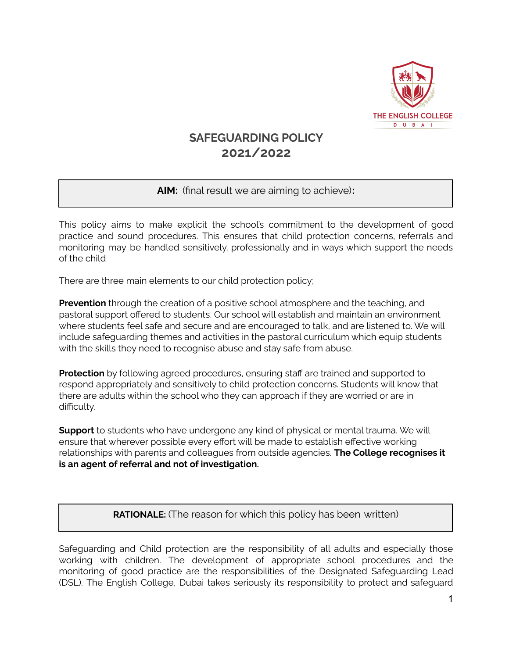

# **SAFEGUARDING POLICY 2021/2022**

# **AIM:** (final result we are aiming to achieve)**:**

This policy aims to make explicit the school's commitment to the development of good practice and sound procedures. This ensures that child protection concerns, referrals and monitoring may be handled sensitively, professionally and in ways which support the needs of the child

There are three main elements to our child protection policy;

**Prevention** through the creation of a positive school atmosphere and the teaching, and pastoral support offered to students. Our school will establish and maintain an environment where students feel safe and secure and are encouraged to talk, and are listened to. We will include safeguarding themes and activities in the pastoral curriculum which equip students with the skills they need to recognise abuse and stay safe from abuse.

**Protection** by following agreed procedures, ensuring staff are trained and supported to respond appropriately and sensitively to child protection concerns. Students will know that there are adults within the school who they can approach if they are worried or are in difficulty.

**Support** to students who have undergone any kind of physical or mental trauma. We will ensure that wherever possible every effort will be made to establish effective working relationships with parents and colleagues from outside agencies. **The College recognises it is an agent of referral and not of investigation.**

# **RATIONALE:** (The reason for which this policy has been written)

Safeguarding and Child protection are the responsibility of all adults and especially those working with children. The development of appropriate school procedures and the monitoring of good practice are the responsibilities of the Designated Safeguarding Lead (DSL). The English College, Dubai takes seriously its responsibility to protect and safeguard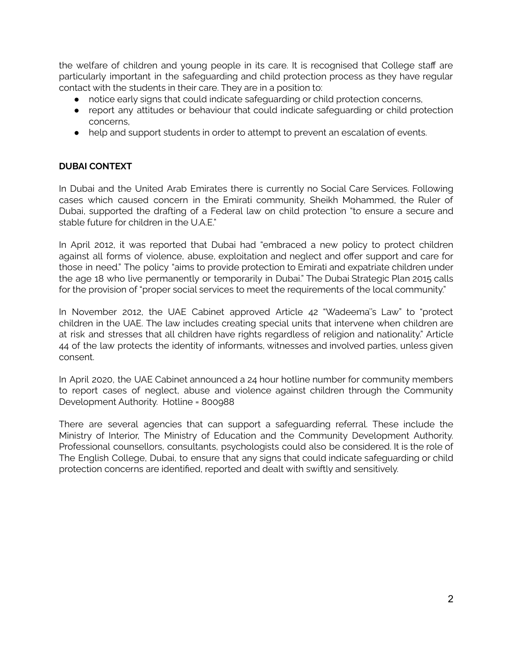the welfare of children and young people in its care. It is recognised that College staff are particularly important in the safeguarding and child protection process as they have regular contact with the students in their care. They are in a position to:

- notice early signs that could indicate safeguarding or child protection concerns,
- report any attitudes or behaviour that could indicate safeguarding or child protection concerns,
- help and support students in order to attempt to prevent an escalation of events.

# **DUBAI CONTEXT**

In Dubai and the United Arab Emirates there is currently no Social Care Services. Following cases which caused concern in the Emirati community, Sheikh Mohammed, the Ruler of Dubai, supported the drafting of a Federal law on child protection "to ensure a secure and stable future for children in the U.A.E."

In April 2012, it was reported that Dubai had "embraced a new policy to protect children against all forms of violence, abuse, exploitation and neglect and offer support and care for those in need." The policy "aims to provide protection to Emirati and expatriate children under the age 18 who live permanently or temporarily in Dubai." The Dubai Strategic Plan 2015 calls for the provision of "proper social services to meet the requirements of the local community."

In November 2012, the UAE Cabinet approved Article 42 "Wadeema''s Law" to "protect children in the UAE. The law includes creating special units that intervene when children are at risk and stresses that all children have rights regardless of religion and nationality." Article 44 of the law protects the identity of informants, witnesses and involved parties, unless given consent.

In April 2020, the UAE Cabinet announced a 24 hour hotline number for community members to report cases of neglect, abuse and violence against children through the Community Development Authority. Hotline = 800988

There are several agencies that can support a safeguarding referral. These include the Ministry of Interior, The Ministry of Education and the Community Development Authority. Professional counsellors, consultants, psychologists could also be considered. It is the role of The English College, Dubai, to ensure that any signs that could indicate safeguarding or child protection concerns are identified, reported and dealt with swiftly and sensitively.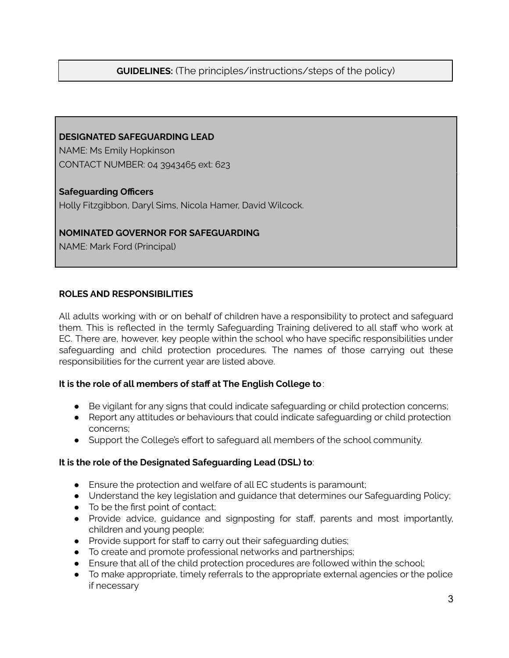# **GUIDELINES:** (The principles/instructions/steps of the policy)

#### **DESIGNATED SAFEGUARDING LEAD**

NAME: Ms Emily Hopkinson CONTACT NUMBER: 04 3943465 ext: 623

#### **Safeguarding Officers**

Holly Fitzgibbon, Daryl Sims, Nicola Hamer, David Wilcock.

#### **NOMINATED GOVERNOR FOR SAFEGUARDING**

NAME: Mark Ford (Principal)

#### **ROLES AND RESPONSIBILITIES**

All adults working with or on behalf of children have a responsibility to protect and safeguard them. This is reflected in the termly Safeguarding Training delivered to all staff who work at EC. There are, however, key people within the school who have specific responsibilities under safeguarding and child protection procedures. The names of those carrying out these responsibilities for the current year are listed above.

#### **It is the role of all members of staff at The English College to**:

- Be vigilant for any signs that could indicate safeguarding or child protection concerns;
- Report any attitudes or behaviours that could indicate safeguarding or child protection concerns;
- Support the College's effort to safeguard all members of the school community.

#### **It is the role of the Designated Safeguarding Lead (DSL) to**:

- Ensure the protection and welfare of all EC students is paramount;
- Understand the key legislation and guidance that determines our Safeguarding Policy;
- To be the first point of contact;
- Provide advice, guidance and signposting for staff, parents and most importantly, children and young people;
- Provide support for staff to carry out their safeguarding duties;
- To create and promote professional networks and partnerships;
- Ensure that all of the child protection procedures are followed within the school;
- To make appropriate, timely referrals to the appropriate external agencies or the police if necessary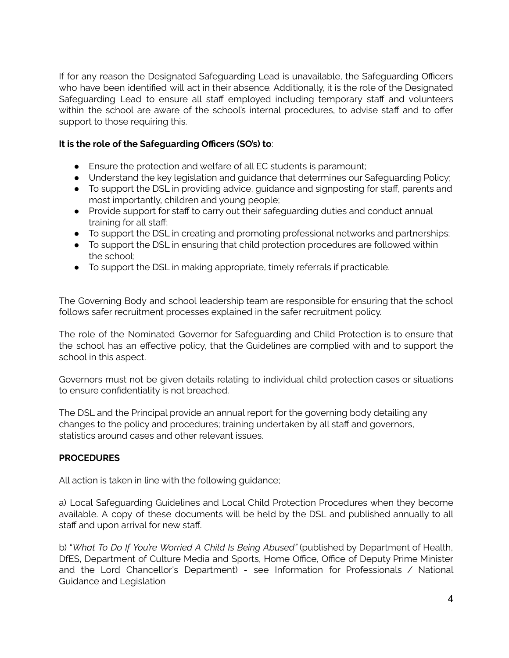If for any reason the Designated Safeguarding Lead is unavailable, the Safeguarding Officers who have been identified will act in their absence*.* Additionally, it is the role of the Designated Safeguarding Lead to ensure all staff employed including temporary staff and volunteers within the school are aware of the school's internal procedures, to advise staff and to offer support to those requiring this.

#### **It is the role of the Safeguarding Officers (SO's) to**:

- Ensure the protection and welfare of all EC students is paramount;
- Understand the key legislation and guidance that determines our Safeguarding Policy;
- To support the DSL in providing advice, guidance and signposting for staff, parents and most importantly, children and young people;
- Provide support for staff to carry out their safeguarding duties and conduct annual training for all staff;
- To support the DSL in creating and promoting professional networks and partnerships;
- To support the DSL in ensuring that child protection procedures are followed within the school;
- To support the DSL in making appropriate, timely referrals if practicable.

The Governing Body and school leadership team are responsible for ensuring that the school follows safer recruitment processes explained in the safer recruitment policy.

The role of the Nominated Governor for Safeguarding and Child Protection is to ensure that the school has an effective policy, that the Guidelines are complied with and to support the school in this aspect.

Governors must not be given details relating to individual child protection cases or situations to ensure confidentiality is not breached.

The DSL and the Principal provide an annual report for the governing body detailing any changes to the policy and procedures; training undertaken by all staff and governors, statistics around cases and other relevant issues.

#### **PROCEDURES**

All action is taken in line with the following guidance;

a) Local Safeguarding Guidelines and Local Child Protection Procedures when they become available. A copy of these documents will be held by the DSL and published annually to all staff and upon arrival for new staff.

b) "*What To Do If You're Worried A Child Is Being Abused"* (published by Department of Health, DfES, Department of Culture Media and Sports, Home Office, Office of Deputy Prime Minister and the Lord Chancellor's Department) - see Information for Professionals / National Guidance and Legislation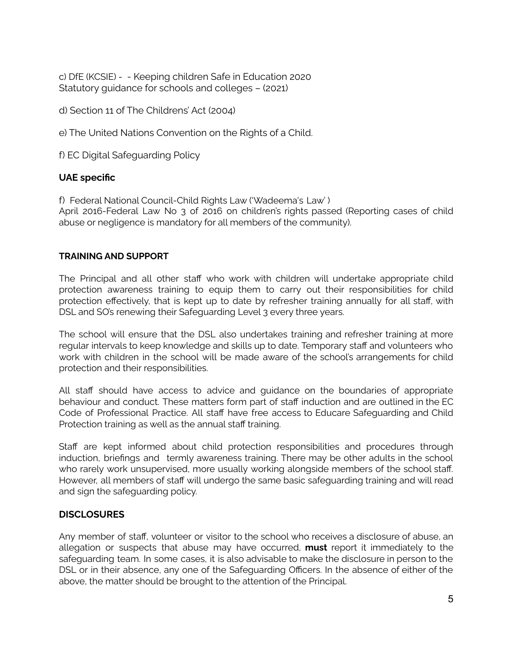c) DfE (KCSIE) - - Keeping children Safe in Education 2020 Statutory guidance for schools and colleges – (2021)

d) Section 11 of The Childrens' Act (2004)

e) The United Nations Convention on the Rights of a Child.

f) EC Digital Safeguarding Policy

#### **UAE specific**

f) Federal National Council-Child Rights Law ('Wadeema's Law' )

April 2016-Federal Law No 3 of 2016 on children's rights passed (Reporting cases of child abuse or negligence is mandatory for all members of the community).

#### **TRAINING AND SUPPORT**

The Principal and all other staff who work with children will undertake appropriate child protection awareness training to equip them to carry out their responsibilities for child protection effectively, that is kept up to date by refresher training annually for all staff, with DSL and SO's renewing their Safeguarding Level 3 every three years.

The school will ensure that the DSL also undertakes training and refresher training at more regular intervals to keep knowledge and skills up to date. Temporary staff and volunteers who work with children in the school will be made aware of the school's arrangements for child protection and their responsibilities.

All staff should have access to advice and guidance on the boundaries of appropriate behaviour and conduct. These matters form part of staff induction and are outlined in the EC Code of Professional Practice. All staff have free access to Educare Safeguarding and Child Protection training as well as the annual staff training.

Staff are kept informed about child protection responsibilities and procedures through induction, briefings and termly awareness training. There may be other adults in the school who rarely work unsupervised, more usually working alongside members of the school staff. However, all members of staff will undergo the same basic safeguarding training and will read and sign the safeguarding policy.

# **DISCLOSURES**

Any member of staff, volunteer or visitor to the school who receives a disclosure of abuse, an allegation or suspects that abuse may have occurred, **must** report it immediately to the safeguarding team. In some cases, it is also advisable to make the disclosure in person to the DSL or in their absence, any one of the Safeguarding Officers. In the absence of either of the above, the matter should be brought to the attention of the Principal.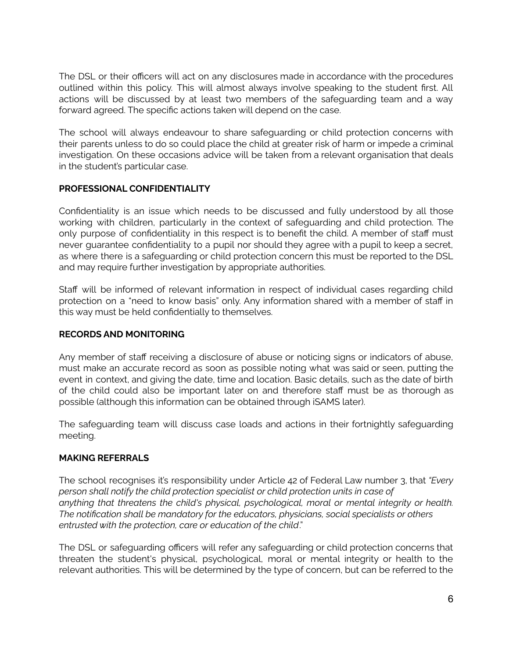The DSL or their officers will act on any disclosures made in accordance with the procedures outlined within this policy. This will almost always involve speaking to the student first. All actions will be discussed by at least two members of the safeguarding team and a way forward agreed. The specific actions taken will depend on the case.

The school will always endeavour to share safeguarding or child protection concerns with their parents unless to do so could place the child at greater risk of harm or impede a criminal investigation. On these occasions advice will be taken from a relevant organisation that deals in the student's particular case.

#### **PROFESSIONAL CONFIDENTIALITY**

Confidentiality is an issue which needs to be discussed and fully understood by all those working with children, particularly in the context of safeguarding and child protection. The only purpose of confidentiality in this respect is to benefit the child. A member of staff must never guarantee confidentiality to a pupil nor should they agree with a pupil to keep a secret, as where there is a safeguarding or child protection concern this must be reported to the DSL and may require further investigation by appropriate authorities.

Staff will be informed of relevant information in respect of individual cases regarding child protection on a "need to know basis" only. Any information shared with a member of staff in this way must be held confidentially to themselves.

# **RECORDS AND MONITORING**

Any member of staff receiving a disclosure of abuse or noticing signs or indicators of abuse, must make an accurate record as soon as possible noting what was said or seen, putting the event in context, and giving the date, time and location. Basic details, such as the date of birth of the child could also be important later on and therefore staff must be as thorough as possible (although this information can be obtained through iSAMS later).

The safeguarding team will discuss case loads and actions in their fortnightly safeguarding meeting.

# **MAKING REFERRALS**

The school recognises it's responsibility under Article 42 of Federal Law number 3, that *"Every person shall notify the child protection specialist or child protection units in case of anything that threatens the child's physical, psychological, moral or mental integrity or health. The notification shall be mandatory for the educators, physicians, social specialists or others entrusted with the protection, care or education of the child*."

The DSL or safeguarding officers will refer any safeguarding or child protection concerns that threaten the student's physical, psychological, moral or mental integrity or health to the relevant authorities. This will be determined by the type of concern, but can be referred to the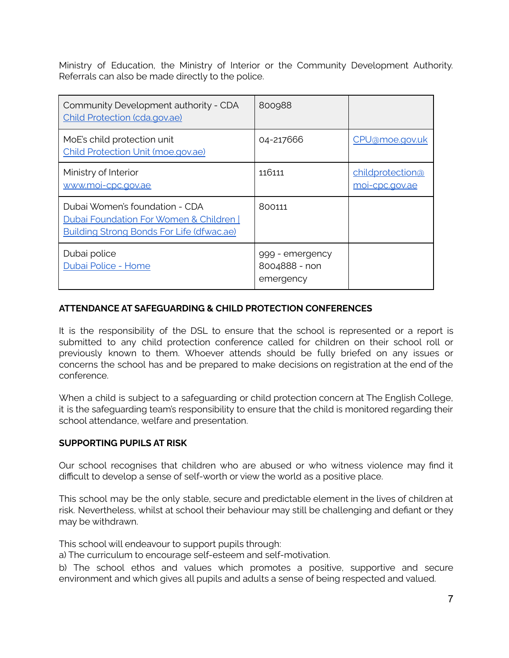Ministry of Education, the Ministry of Interior or the Community Development Authority. Referrals can also be made directly to the police.

| Community Development authority - CDA<br>Child Protection (cda.gov.ae)                                                 | 800988                                        |                                    |
|------------------------------------------------------------------------------------------------------------------------|-----------------------------------------------|------------------------------------|
| MoE's child protection unit<br>Child Protection Unit (moe.gov.ae)                                                      | 04-217666                                     | CPU@moe.gov.uk                     |
| Ministry of Interior<br>www.moi-cpc.gov.ae                                                                             | 116111                                        | childprotection@<br>moi-cpc.gov.ae |
| Dubai Women's foundation - CDA<br>Dubai Foundation For Women & Children  <br>Building Strong Bonds For Life (dfwac.ae) | 800111                                        |                                    |
| Dubai police<br>Dubai Police - Home                                                                                    | 999 - emergency<br>8004888 - non<br>emergency |                                    |

# **ATTENDANCE AT SAFEGUARDING & CHILD PROTECTION CONFERENCES**

It is the responsibility of the DSL to ensure that the school is represented or a report is submitted to any child protection conference called for children on their school roll or previously known to them. Whoever attends should be fully briefed on any issues or concerns the school has and be prepared to make decisions on registration at the end of the conference.

When a child is subject to a safeguarding or child protection concern at The English College, it is the safeguarding team's responsibility to ensure that the child is monitored regarding their school attendance, welfare and presentation.

# **SUPPORTING PUPILS AT RISK**

Our school recognises that children who are abused or who witness violence may find it difficult to develop a sense of self-worth or view the world as a positive place.

This school may be the only stable, secure and predictable element in the lives of children at risk. Nevertheless, whilst at school their behaviour may still be challenging and defiant or they may be withdrawn.

This school will endeavour to support pupils through:

a) The curriculum to encourage self-esteem and self-motivation.

b) The school ethos and values which promotes a positive, supportive and secure environment and which gives all pupils and adults a sense of being respected and valued.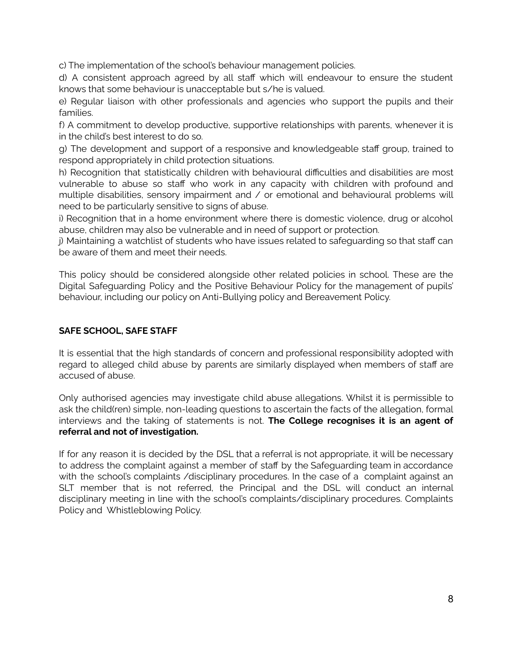c) The implementation of the school's behaviour management policies.

d) A consistent approach agreed by all staff which will endeavour to ensure the student knows that some behaviour is unacceptable but s/he is valued.

e) Regular liaison with other professionals and agencies who support the pupils and their families.

f) A commitment to develop productive, supportive relationships with parents, whenever it is in the child's best interest to do so.

g) The development and support of a responsive and knowledgeable staff group, trained to respond appropriately in child protection situations.

h) Recognition that statistically children with behavioural difficulties and disabilities are most vulnerable to abuse so staff who work in any capacity with children with profound and multiple disabilities, sensory impairment and / or emotional and behavioural problems will need to be particularly sensitive to signs of abuse.

i) Recognition that in a home environment where there is domestic violence, drug or alcohol abuse, children may also be vulnerable and in need of support or protection.

j) Maintaining a watchlist of students who have issues related to safeguarding so that staff can be aware of them and meet their needs.

This policy should be considered alongside other related policies in school. These are the Digital Safeguarding Policy and the Positive Behaviour Policy for the management of pupils' behaviour, including our policy on Anti-Bullying policy and Bereavement Policy.

# **SAFE SCHOOL, SAFE STAFF**

It is essential that the high standards of concern and professional responsibility adopted with regard to alleged child abuse by parents are similarly displayed when members of staff are accused of abuse.

Only authorised agencies may investigate child abuse allegations. Whilst it is permissible to ask the child(ren) simple, non-leading questions to ascertain the facts of the allegation, formal interviews and the taking of statements is not. **The College recognises it is an agent of referral and not of investigation.**

If for any reason it is decided by the DSL that a referral is not appropriate, it will be necessary to address the complaint against a member of staff by the Safeguarding team in accordance with the school's complaints /disciplinary procedures. In the case of a complaint against an SLT member that is not referred, the Principal and the DSL will conduct an internal disciplinary meeting in line with the school's complaints/disciplinary procedures. Complaints Policy and Whistleblowing Policy.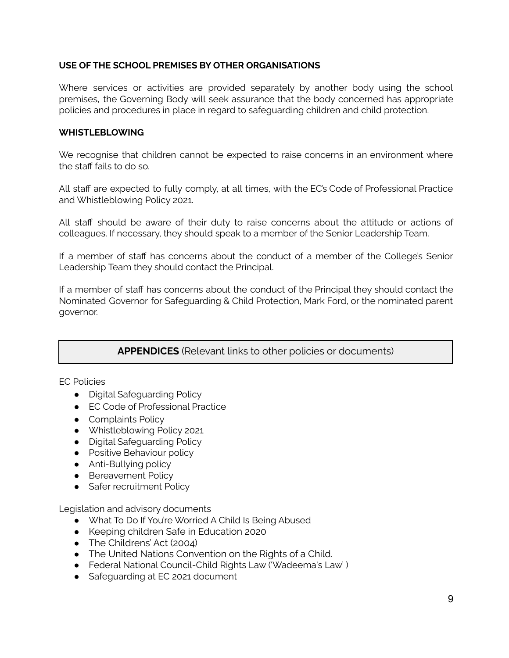#### **USE OF THE SCHOOL PREMISES BY OTHER ORGANISATIONS**

Where services or activities are provided separately by another body using the school premises, the Governing Body will seek assurance that the body concerned has appropriate policies and procedures in place in regard to safeguarding children and child protection.

#### **WHISTLEBLOWING**

We recognise that children cannot be expected to raise concerns in an environment where the staff fails to do so.

All staff are expected to fully comply, at all times, with the EC's Code of Professional Practice and Whistleblowing Policy 2021.

All staff should be aware of their duty to raise concerns about the attitude or actions of colleagues. If necessary, they should speak to a member of the Senior Leadership Team.

If a member of staff has concerns about the conduct of a member of the College's Senior Leadership Team they should contact the Principal.

If a member of staff has concerns about the conduct of the Principal they should contact the Nominated Governor for Safeguarding & Child Protection, Mark Ford, or the nominated parent governor.

# **APPENDICES** (Relevant links to other policies or documents)

EC Policies

- Digital Safeguarding Policy
- EC Code of Professional Practice
- Complaints Policy
- Whistleblowing Policy 2021
- Digital Safeguarding Policy
- Positive Behaviour policy
- Anti-Bullying policy
- Bereavement Policy
- Safer recruitment Policy

Legislation and advisory documents

- What To Do If You're Worried A Child Is Being Abused
- Keeping children Safe in Education 2020
- The Childrens' Act (2004)
- The United Nations Convention on the Rights of a Child.
- Federal National Council-Child Rights Law ('Wadeema's Law' )
- Safequarding at EC 2021 document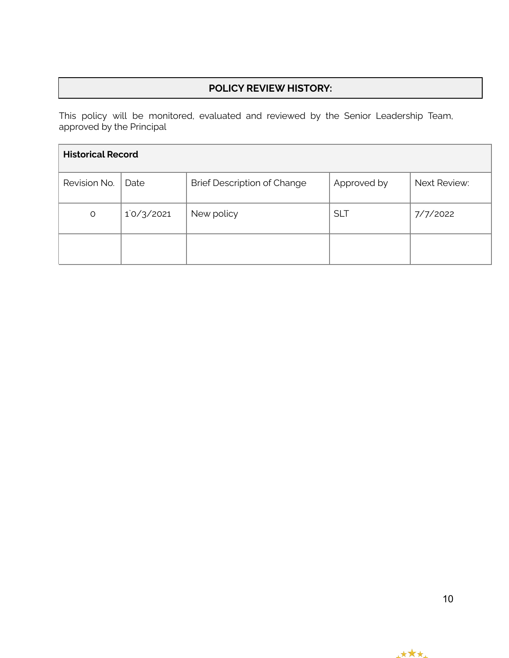# **POLICY REVIEW HISTORY:**

This policy will be monitored, evaluated and reviewed by the Senior Leadership Team, approved by the Principal

| <b>Historical Record</b> |                             |                                    |             |              |  |
|--------------------------|-----------------------------|------------------------------------|-------------|--------------|--|
| Revision No.             | Date                        | <b>Brief Description of Change</b> | Approved by | Next Review: |  |
| O                        | $1^{\circ}/3^{\prime}/2021$ | New policy                         | <b>SLT</b>  | 7/7/2022     |  |
|                          |                             |                                    |             |              |  |